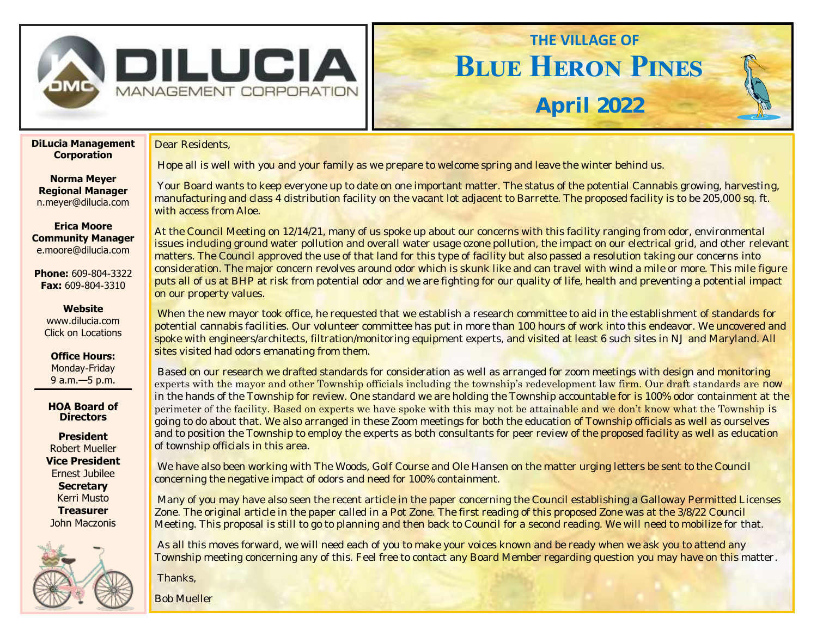

Dear Residents,

## **Blue Heron Pines THE VILLAGE OF**

**April 2022**

**DiLucia Management Corporation**

**Norma Meyer Regional Manager**  n.meyer@dilucia.com

**Erica Moore Community Manager** e.moore@dilucia.com

**Phone:** 609-804-3322 **Fax:** 609-804-3310

> **Website** www.dilucia.com Click on Locations

**Office Hours:** Monday-Friday 9 a.m.—5 p.m.

**HOA Board of Directors**

**President** Robert Mueller **Vice President** Ernest Jubilee **Secretary** Kerri Musto **Treasurer** John Maczonis



Hope all is well with you and your family as we prepare to welcome spring and leave the winter behind us.

Your Board wants to keep everyone up to date on one important matter. The status of the potential Cannabis growing, harvesting, manufacturing and class 4 distribution facility on the vacant lot adjacent to Barrette. The proposed facility is to be 205,000 sq. ft. with access from Aloe.

At the Council Meeting on 12/14/21, many of us spoke up about our concerns with this facility ranging from odor, environmental issues including ground water pollution and overall water usage ozone pollution, the impact on our electrical grid, and other relevant matters. The Council approved the use of that land for this type of facility but also passed a resolution taking our concerns into consideration. The major concern revolves around odor which is skunk like and can travel with wind a mile or more. This mile figure puts all of us at BHP at risk from potential odor and we are fighting for our quality of life, health and preventing a potential impact on our property values.

When the new mayor took office, he requested that we establish a research committee to aid in the establishment of standards for potential cannabis facilities. Our volunteer committee has put in more than 100 hours of work into this endeavor. We uncovered and spoke with engineers/architects, filtration/monitoring equipment experts, and visited at least 6 such sites in NJ and Maryland. All sites visited had odors emanating from them.

Based on our research we drafted standards for consideration as well as arranged for zoom meetings with design and monitoring experts with the mayor and other Township officials including the township's redevelopment law firm. Our draft standards are now in the hands of the Township for review. One standard we are holding the Township accountable for is 100% odor containment at the perimeter of the facility. Based on experts we have spoke with this may not be attainable and we don't know what the Township is going to do about that. We also arranged in these Zoom meetings for both the education of Township officials as well as ourselves and to position the Township to employ the experts as both consultants for peer review of the proposed facility as well as education of township officials in this area.

We have also been working with The Woods, Golf Course and Ole Hansen on the matter urging letters be sent to the Council concerning the negative impact of odors and need for 100% containment.

Many of you may have also seen the recent article in the paper concerning the Council establishing a Galloway Permitted Licenses Zone. The original article in the paper called in a Pot Zone. The first reading of this proposed Zone was at the 3/8/22 Council Meeting. This proposal is still to go to planning and then back to Council for a second reading. We will need to mobilize for that.

As all this moves forward, we will need each of you to make your voices known and be ready when we ask you to attend any Township meeting concerning any of this. Feel free to contact any Board Member regarding question you may have on this matter.

Thanks,

Bob Mueller